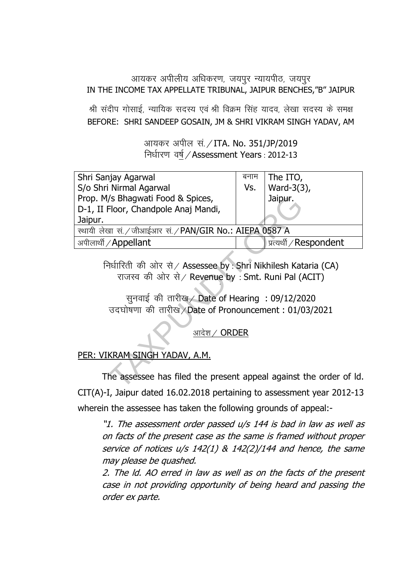## आयकर अपीलीय अधिकरण, जयपुर न्यायपीठ, जयपुर IN THE INCOME TAX APPELLATE TRIBUNAL, JAIPUR BENCHES,"B" JAIPUR

श्री संदीप गोसाई, न्यायिक सदस्य एवं श्री विक्रम सिंह यादव, लेखा सदस्य के समक्ष BEFORE: SHRI SANDEEP GOSAIN, JM & SHRI VIKRAM SINGH YADAV, AM

> आयकर अपील सं. / ITA. No. 351/JP/2019 निर्धारण वर्ष / Assessment Years : 2012-13

| Shri Sanjay Agarwal                                                                                                                                                                                                                         | बनाम | The ITO,                |  |  |
|---------------------------------------------------------------------------------------------------------------------------------------------------------------------------------------------------------------------------------------------|------|-------------------------|--|--|
| S/o Shri Nirmal Agarwal                                                                                                                                                                                                                     | Vs.  | Ward- $3(3)$ ,          |  |  |
| Prop. M/s Bhagwati Food & Spices,                                                                                                                                                                                                           |      | Jaipur.                 |  |  |
| D-1, II Floor, Chandpole Anaj Mandi,                                                                                                                                                                                                        |      |                         |  |  |
| Jaipur.                                                                                                                                                                                                                                     |      |                         |  |  |
| स्थायी लेखा सं. / जीआईआर सं. / PAN/GIR No.: AIEPA 0587 A                                                                                                                                                                                    |      |                         |  |  |
| अपीलार्थी / Appellant                                                                                                                                                                                                                       |      | प्रत्यर्थी / Respondent |  |  |
| निर्धारिती की ओर से/ Assessee by : Shri Nikhilesh Kataria (CA)<br>राजस्व की ओर से/ Revenue by: Smt. Runi Pal (ACIT)<br>सूनवाई की तारीख/ Date of Hearing: 09/12/2020<br>उदघोषणा की तारीख/Date of Pronouncement: 01/03/2021<br>आदेश / $ORDER$ |      |                         |  |  |
| PER: VIKRAM SINGH YADAV, A.M.                                                                                                                                                                                                               |      |                         |  |  |
| The assessee has filed the present appeal against the order of Id.                                                                                                                                                                          |      |                         |  |  |
| $\blacksquare$                                                                                                                                                                                                                              |      | ----                    |  |  |

## आदेश $\angle$  ORDER

## PER: VIKRAM SINGH YADAV, A.M.

 The assessee has filed the present appeal against the order of ld. CIT(A)-I, Jaipur dated 16.02.2018 pertaining to assessment year 2012-13 wherein the assessee has taken the following grounds of appeal:-

"1. The assessment order passed u/s 144 is bad in law as well as on facts of the present case as the same is framed without proper service of notices  $u/s$  142(1) & 142(2)/144 and hence, the same may please be quashed.

2. The ld. AO erred in law as well as on the facts of the present case in not providing opportunity of being heard and passing the order ex parte.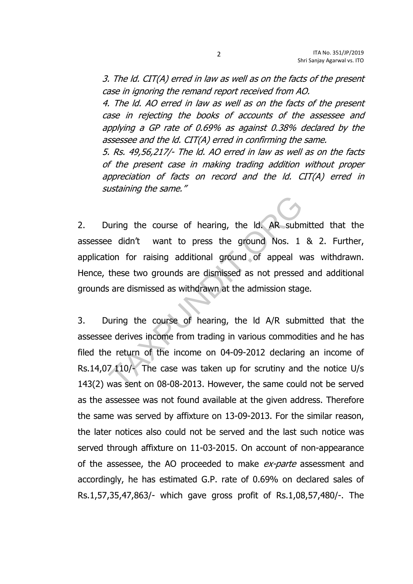3. The ld. CIT(A) erred in law as well as on the facts of the present case in ignoring the remand report received from AO.

4. The ld. AO erred in law as well as on the facts of the present case in rejecting the books of accounts of the assessee and applying a GP rate of 0.69% as against 0.38% declared by the assessee and the ld. CIT(A) erred in confirming the same.

5. Rs. 49,56,217/- The ld. AO erred in law as well as on the facts of the present case in making trading addition without proper appreciation of facts on record and the ld. CIT(A) erred in sustaining the same."

2. During the course of hearing, the ld. AR submitted that the assessee didn't want to press the ground Nos. 1 & 2. Further, application for raising additional ground of appeal was withdrawn. Hence, these two grounds are dismissed as not pressed and additional grounds are dismissed as withdrawn at the admission stage.

3. During the course of hearing, the ld A/R submitted that the assessee derives income from trading in various commodities and he has filed the return of the income on 04-09-2012 declaring an income of Rs.14,07 110/- The case was taken up for scrutiny and the notice U/s 143(2) was sent on 08-08-2013. However, the same could not be served as the assessee was not found available at the given address. Therefore the same was served by affixture on 13-09-2013. For the similar reason, the later notices also could not be served and the last such notice was served through affixture on 11-03-2015. On account of non-appearance of the assessee, the AO proceeded to make *ex-parte* assessment and accordingly, he has estimated G.P. rate of 0.69% on declared sales of Rs.1,57,35,47,863/- which gave gross profit of Rs.1,08,57,480/-. The uring the course of hearing, the Id. AR subnet didn't want to press the ground Nos. 1<br>ion for raising additional ground of appeal w<br>these two grounds are dismissed as not pressed<br>are dismissed as withdrawn at the admission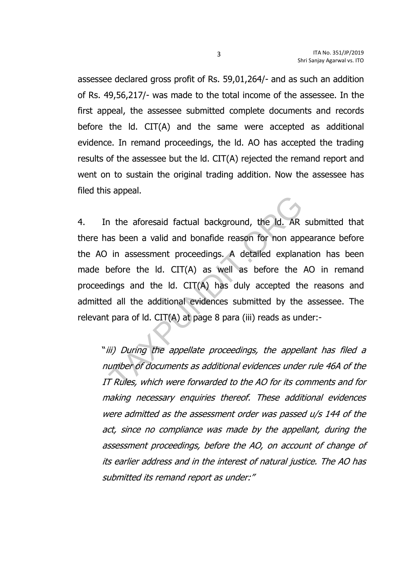assessee declared gross profit of Rs. 59,01,264/- and as such an addition of Rs. 49,56,217/- was made to the total income of the assessee. In the first appeal, the assessee submitted complete documents and records before the ld. CIT(A) and the same were accepted as additional evidence. In remand proceedings, the ld. AO has accepted the trading results of the assessee but the ld. CIT(A) rejected the remand report and went on to sustain the original trading addition. Now the assessee has filed this appeal.

4. In the aforesaid factual background, the ld. AR submitted that there has been a valid and bonafide reason for non appearance before the AO in assessment proceedings. A detailed explanation has been made before the ld. CIT(A) as well as before the AO in remand proceedings and the ld. CIT(A) has duly accepted the reasons and admitted all the additional evidences submitted by the assessee. The relevant para of ld. CIT(A) at page 8 para (iii) reads as under:- The aforesaid factual background, the Id. AR<br>as been a valid and bonafide reason for non app<br>in assessment proceedings. A detailed explana<br>before the Id. CIT(A) as well as before the<br>lings and the Id. CIT(A) has duly accep

"iii) During the appellate proceedings, the appellant has filed a number of documents as additional evidences under rule 46A of the IT Rules, which were forwarded to the AO for its comments and for making necessary enquiries thereof. These additional evidences were admitted as the assessment order was passed u/s 144 of the act, since no compliance was made by the appellant, during the assessment proceedings, before the AO, on account of change of its earlier address and in the interest of natural justice. The AO has submitted its remand report as under:"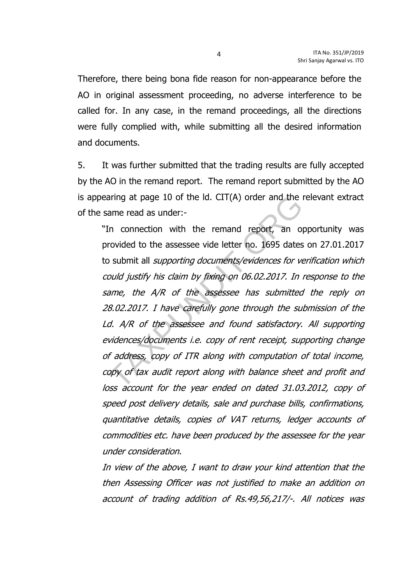Therefore, there being bona fide reason for non-appearance before the AO in original assessment proceeding, no adverse interference to be called for. In any case, in the remand proceedings, all the directions were fully complied with, while submitting all the desired information and documents.

5. It was further submitted that the trading results are fully accepted by the AO in the remand report. The remand report submitted by the AO is appearing at page 10 of the ld. CIT(A) order and the relevant extract of the same read as under:-

"In connection with the remand report, an opportunity was provided to the assessee vide letter no. 1695 dates on 27.01.2017 to submit all supporting documents/evidences for verification which could justify his claim by fixing on 06.02.2017. In response to the same, the A/R of the assessee has submitted the reply on 28.02.2017. I have carefully gone through the submission of the Ld. A/R of the assessee and found satisfactory. All supporting evidences/documents i.e. copy of rent receipt, supporting change of address, copy of ITR along with computation of total income, copy of tax audit report along with balance sheet and profit and loss account for the year ended on dated 31.03.2012, copy of speed post delivery details, sale and purchase bills, confirmations, quantitative details, copies of VAT returns, ledger accounts of commodities etc. have been produced by the assessee for the year under consideration. aring at page 10 of the ld. CIT(A) order and the i<br>ame read as under:-<br>In connection with the remand report, an oprovided to the assessee vide letter no. 1695 dates<br>b submit all *supporting documents/evidences for ve*<br>*oul* 

In view of the above, I want to draw your kind attention that the then Assessing Officer was not justified to make an addition on account of trading addition of Rs.49,56,217/-. All notices was

4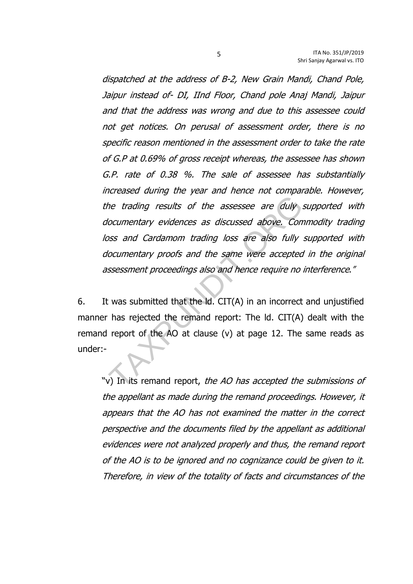dispatched at the address of B-2, New Grain Mandi, Chand Pole, Jaipur instead of- DI, IInd Floor, Chand pole Anaj Mandi, Jaipur and that the address was wrong and due to this assessee could not get notices. On perusal of assessment order, there is no specific reason mentioned in the assessment order to take the rate of G.P at 0.69% of gross receipt whereas, the assessee has shown G.P. rate of 0.38 %. The sale of assessee has substantially increased during the year and hence not comparable. However, the trading results of the assessee are duly supported with documentary evidences as discussed above. Commodity trading loss and Cardamom trading loss are also fully supported with documentary proofs and the same were accepted in the original assessment proceedings also and hence require no interference." The trading results of the assessee are duly is<br>
focumentary evidences as discussed above. Con<br>
Socumentary proofs and the same were accepted<br>
ssessment proceedings also and hence require no<br>
The sessment proceedings also

6. It was submitted that the ld. CIT(A) in an incorrect and unjustified manner has rejected the remand report: The ld. CIT(A) dealt with the remand report of the AO at clause (v) at page 12. The same reads as under:-

"v) In its remand report, the AO has accepted the submissions of the appellant as made during the remand proceedings. However, it appears that the AO has not examined the matter in the correct perspective and the documents filed by the appellant as additional evidences were not analyzed properly and thus, the remand report of the AO is to be ignored and no cognizance could be given to it. Therefore, in view of the totality of facts and circumstances of the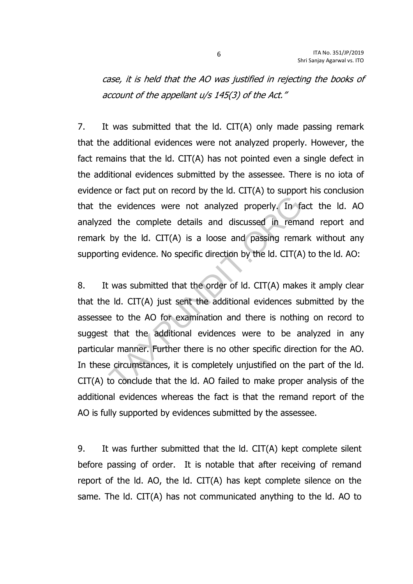case, it is held that the AO was justified in rejecting the books of account of the appellant u/s 145(3) of the Act."

7. It was submitted that the ld. CIT(A) only made passing remark that the additional evidences were not analyzed properly. However, the fact remains that the ld. CIT(A) has not pointed even a single defect in the additional evidences submitted by the assessee. There is no iota of evidence or fact put on record by the ld. CIT(A) to support his conclusion that the evidences were not analyzed properly. In fact the ld. AO analyzed the complete details and discussed in remand report and remark by the ld. CIT(A) is a loose and passing remark without any supporting evidence. No specific direction by the ld. CIT(A) to the ld. AO:

8. It was submitted that the order of ld. CIT(A) makes it amply clear that the ld. CIT(A) just sent the additional evidences submitted by the assessee to the AO for examination and there is nothing on record to suggest that the additional evidences were to be analyzed in any particular manner. Further there is no other specific direction for the AO. In these circumstances, it is completely unjustified on the part of the ld. CIT(A) to conclude that the ld. AO failed to make proper analysis of the additional evidences whereas the fact is that the remand report of the AO is fully supported by evidences submitted by the assessee. e evidences were not analyzed properly. In faith details and discussed in remation by the Id. CIT(A) is a loose and passing remating evidence. No specific direction by the Id. CIT(A) was submitted that the order of Id. CIT

9. It was further submitted that the ld. CIT(A) kept complete silent before passing of order. It is notable that after receiving of remand report of the ld. AO, the ld. CIT(A) has kept complete silence on the same. The ld. CIT(A) has not communicated anything to the ld. AO to

6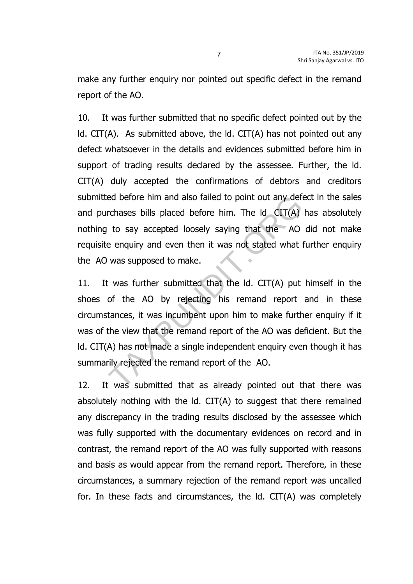make any further enquiry nor pointed out specific defect in the remand report of the AO.

10. It was further submitted that no specific defect pointed out by the ld. CIT(A). As submitted above, the ld. CIT(A) has not pointed out any defect whatsoever in the details and evidences submitted before him in support of trading results declared by the assessee. Further, the ld. CIT(A) duly accepted the confirmations of debtors and creditors submitted before him and also failed to point out any defect in the sales and purchases bills placed before him. The ld CIT(A) has absolutely nothing to say accepted loosely saying that the AO did not make requisite enquiry and even then it was not stated what further enquiry the AO was supposed to make.

11. It was further submitted that the ld. CIT(A) put himself in the shoes of the AO by rejecting his remand report and in these circumstances, it was incumbent upon him to make further enquiry if it was of the view that the remand report of the AO was deficient. But the ld. CIT(A) has not made a single independent enquiry even though it has summarily rejected the remand report of the AO. ed before him and also failed to point out any defer<br>rchases bills placed before him. The Id CIT(A)<br>to say accepted loosely saying that the AO<br>e enquiry and even then it was not stated what t<br>was supposed to make.<br>The was

12. It was submitted that as already pointed out that there was absolutely nothing with the ld. CIT(A) to suggest that there remained any discrepancy in the trading results disclosed by the assessee which was fully supported with the documentary evidences on record and in contrast, the remand report of the AO was fully supported with reasons and basis as would appear from the remand report. Therefore, in these circumstances, a summary rejection of the remand report was uncalled for. In these facts and circumstances, the ld. CIT(A) was completely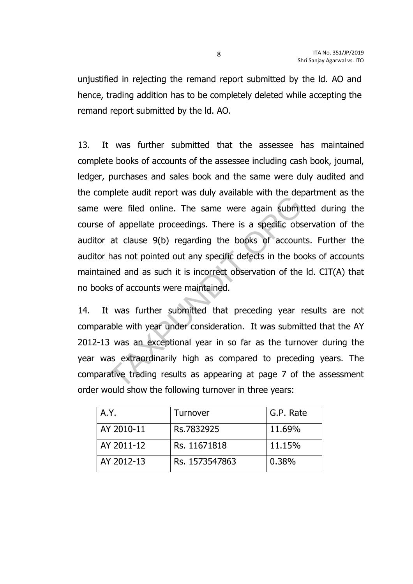unjustified in rejecting the remand report submitted by the ld. AO and hence, trading addition has to be completely deleted while accepting the remand report submitted by the ld. AO.

13. It was further submitted that the assessee has maintained complete books of accounts of the assessee including cash book, journal, ledger, purchases and sales book and the same were duly audited and the complete audit report was duly available with the department as the same were filed online. The same were again subm tted during the course of appellate proceedings. There is a specific observation of the auditor at clause 9(b) regarding the books of accounts. Further the auditor has not pointed out any specific defects in the books of accounts maintained and as such it is incorrect observation of the ld. CIT(A) that no books of accounts were maintained. were filed online. The same were again submit<br>of appellate proceedings. There is a specific obs<br>at clause 9(b) regarding the books of account<br>has not pointed out any specific defects in the book<br>ned and as such it is incor

14. It was further submitted that preceding year results are not comparable with year under consideration. It was submitted that the AY 2012-13 was an exceptional year in so far as the turnover during the year was extraordinarily high as compared to preceding years. The comparative trading results as appearing at page 7 of the assessment order would show the following turnover in three years:

| A.Y.       | Turnover       | G.P. Rate |
|------------|----------------|-----------|
| AY 2010-11 | Rs.7832925     | 11.69%    |
| AY 2011-12 | Rs. 11671818   | 11.15%    |
| AY 2012-13 | Rs. 1573547863 | 0.38%     |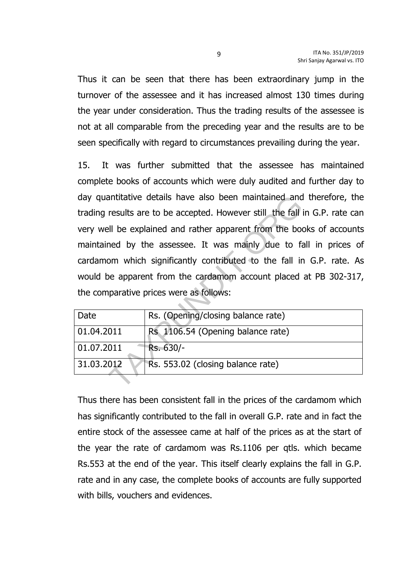Thus it can be seen that there has been extraordinary jump in the turnover of the assessee and it has increased almost 130 times during the year under consideration. Thus the trading results of the assessee is not at all comparable from the preceding year and the results are to be seen specifically with regard to circumstances prevailing during the year.

15. It was further submitted that the assessee has maintained complete books of accounts which were duly audited and further day to day quantitative details have also been maintained and therefore, the trading results are to be accepted. However still the fall in G.P. rate can very well be explained and rather apparent from the books of accounts maintained by the assessee. It was mainly due to fall in prices of cardamom which significantly contributed to the fall in G.P. rate. As would be apparent from the cardamom account placed at PB 302-317, the comparative prices were as follows: antitative details have also been maintained and<br>results are to be accepted. However still the fall is<br>all be explained and rather apparent from the boot<br>ned by the assessee. It was mainly due to fall in<br>one which signific

| Date       | Rs. (Opening/closing balance rate) |
|------------|------------------------------------|
| 01.04.2011 | Rs 1106.54 (Opening balance rate)  |
| 01.07.2011 | Rs. 630/-                          |
| 31.03.2012 | Rs. 553.02 (closing balance rate)  |

Thus there has been consistent fall in the prices of the cardamom which has significantly contributed to the fall in overall G.P. rate and in fact the entire stock of the assessee came at half of the prices as at the start of the year the rate of cardamom was Rs.1106 per qtls. which became Rs.553 at the end of the year. This itself clearly explains the fall in G.P. rate and in any case, the complete books of accounts are fully supported with bills, vouchers and evidences.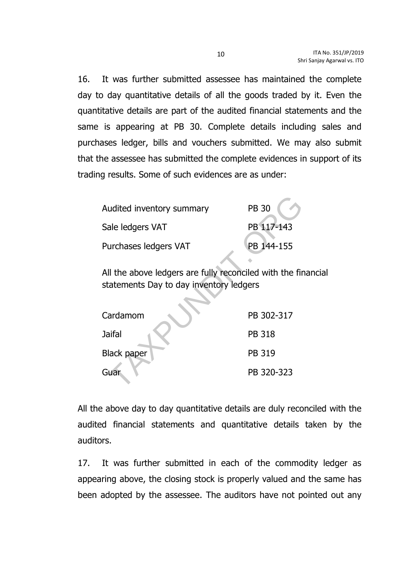16. It was further submitted assessee has maintained the complete day to day quantitative details of all the goods traded by it. Even the quantitative details are part of the audited financial statements and the same is appearing at PB 30. Complete details including sales and purchases ledger, bills and vouchers submitted. We may also submit that the assessee has submitted the complete evidences in support of its trading results. Some of such evidences are as under:

| Audited inventory summary | <b>PB 30</b> |
|---------------------------|--------------|
| Sale ledgers VAT          | PB 117-143   |
| Purchases ledgers VAT     | PB 144-155   |

All the above ledgers are fully reconciled with the financial statements Day to day inventory ledgers

| Audited inventory summary                                                                          | <b>PB 30</b>  |  |  |  |
|----------------------------------------------------------------------------------------------------|---------------|--|--|--|
| Sale ledgers VAT                                                                                   | PB 117-143    |  |  |  |
| Purchases ledgers VAT                                                                              | PB 144-155    |  |  |  |
| All the above ledgers are fully reconciled with the fir<br>statements Day to day inventory ledgers |               |  |  |  |
| Cardamom                                                                                           | PB 302-317    |  |  |  |
| Jaifal                                                                                             | <b>PB 318</b> |  |  |  |
| <b>Black paper</b>                                                                                 | <b>PB 319</b> |  |  |  |
| Guar                                                                                               | PB 320-323    |  |  |  |
|                                                                                                    |               |  |  |  |

All the above day to day quantitative details are duly reconciled with the audited financial statements and quantitative details taken by the auditors.

17. It was further submitted in each of the commodity ledger as appearing above, the closing stock is properly valued and the same has been adopted by the assessee. The auditors have not pointed out any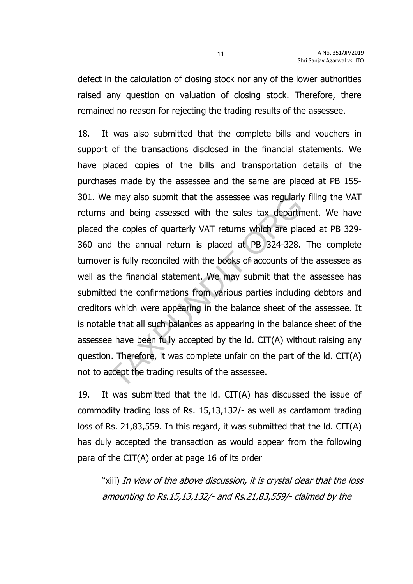defect in the calculation of closing stock nor any of the lower authorities raised any question on valuation of closing stock. Therefore, there remained no reason for rejecting the trading results of the assessee.

18. It was also submitted that the complete bills and vouchers in support of the transactions disclosed in the financial statements. We have placed copies of the bills and transportation details of the purchases made by the assessee and the same are placed at PB 155- 301. We may also submit that the assessee was regularly filing the VAT returns and being assessed with the sales tax department. We have placed the copies of quarterly VAT returns which are placed at PB 329- 360 and the annual return is placed at PB 324-328. The complete turnover is fully reconciled with the books of accounts of the assessee as well as the financial statement. We may submit that the assessee has submitted the confirmations from various parties including debtors and creditors which were appearing in the balance sheet of the assessee. It is notable that all such balances as appearing in the balance sheet of the assessee have been fully accepted by the ld. CIT(A) without raising any question. Therefore, it was complete unfair on the part of the ld. CIT(A) not to accept the trading results of the assessee. e may also submit that the assessee was regularly<br>and being assessed with the sales tax departm<br>the copies of quarterly VAT returns which are plad<br>d the annual return is placed at PB 324-328.<br>r is fully reconciled with the

19. It was submitted that the ld. CIT(A) has discussed the issue of commodity trading loss of Rs. 15,13,132/- as well as cardamom trading loss of Rs. 21,83,559. In this regard, it was submitted that the ld. CIT(A) has duly accepted the transaction as would appear from the following para of the CIT(A) order at page 16 of its order

"xiii) In view of the above discussion, it is crystal clear that the loss amounting to Rs.15,13,132/- and Rs.21,83,559/- claimed by the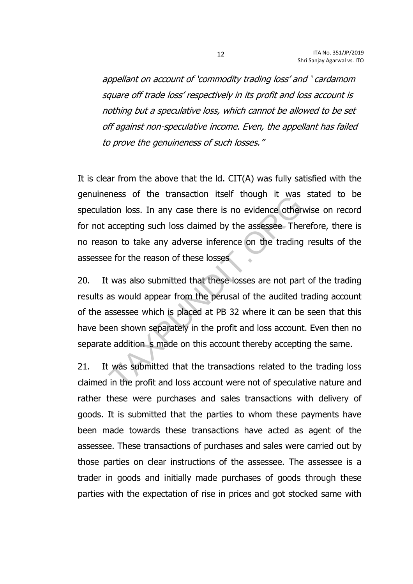appellant on account of 'commodity trading loss' and ' cardamom square off trade loss' respectively in its profit and loss account is nothing but a speculative loss, which cannot be allowed to be set off against non-speculative income. Even, the appellant has failed to prove the genuineness of such losses."

It is clear from the above that the ld. CIT(A) was fully satisfied with the genuineness of the transaction itself though it was stated to be speculation loss. In any case there is no evidence otherwise on record for not accepting such loss claimed by the assessee Therefore, there is no reason to take any adverse inference on the trading results of the assessee for the reason of these losses

20. It was also submitted that these losses are not part of the trading results as would appear from the perusal of the audited trading account of the assessee which is placed at PB 32 where it can be seen that this have been shown separately in the profit and loss account. Even then no separate addition s made on this account thereby accepting the same. riess of the transaction itself thought it was<br>tion loss. In any case there is no evidence other<br>accepting such loss claimed by the assessee The<br>on to take any adverse inference on the trading<br>e for the reason of these los

21. It was submitted that the transactions related to the trading loss claimed in the profit and loss account were not of speculative nature and rather these were purchases and sales transactions with delivery of goods. It is submitted that the parties to whom these payments have been made towards these transactions have acted as agent of the assessee. These transactions of purchases and sales were carried out by those parties on clear instructions of the assessee. The assessee is a trader in goods and initially made purchases of goods through these parties with the expectation of rise in prices and got stocked same with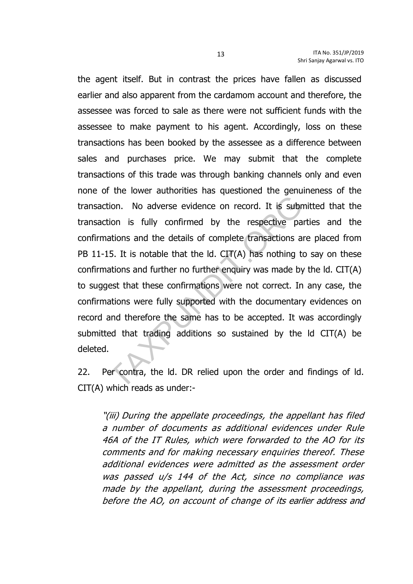the agent itself. But in contrast the prices have fallen as discussed earlier and also apparent from the cardamom account and therefore, the assessee was forced to sale as there were not sufficient funds with the assessee to make payment to his agent. Accordingly, loss on these transactions has been booked by the assessee as a difference between sales and purchases price. We may submit that the complete transactions of this trade was through banking channels only and even none of the lower authorities has questioned the genuineness of the transaction. No adverse evidence on record. It is submitted that the transaction is fully confirmed by the respective parties and the confirmations and the details of complete transactions are placed from PB 11-15. It is notable that the Id.  $CIT(A)$  has nothing to say on these confirmations and further no further enquiry was made by the ld. CIT(A) to suggest that these confirmations were not correct. In any case, the confirmations were fully supported with the documentary evidences on record and therefore the same has to be accepted. It was accordingly submitted that trading additions so sustained by the ld CIT(A) be deleted. tion. No adverse evidence on record. It is subnotion is fully confirmed by the respective parations and the details of complete transactions at 15. It is notable that the Id. CIT(A) has nothing to ations and further no fur

22. Per contra, the ld. DR relied upon the order and findings of ld. CIT(A) which reads as under:-

"(iii) During the appellate proceedings, the appellant has filed a number of documents as additional evidences under Rule 46A of the IT Rules, which were forwarded to the AO for its comments and for making necessary enquiries thereof. These additional evidences were admitted as the assessment order was passed u/s 144 of the Act, since no compliance was made by the appellant, during the assessment proceedings, before the AO, on account of change of its earlier address and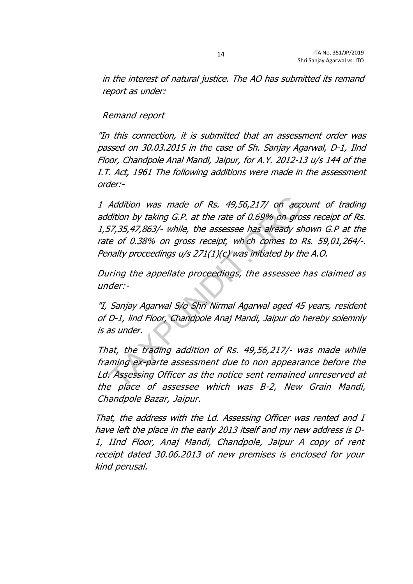in the interest of natural justice. The AO has submitted its remand report as under:

Remand report

"In this connection, it is submitted that an assessment order was passed on 30.03.2015 in the case of Sh. Sanjay Agarwal, D-1, Ilnd Floor, Chandpole Anal Mandi, Jaipur, for A.Y. 2012-13 u/s 144 of the I.T. Act, 1961 The following additions were made in the assessment order:-

1 Addition was made of Rs. 49,56,217/ on account of trading addition by taking G.P. at the rate of 0.69% on gross receipt of Rs. 1,57,35,47,863/- while, the assessee has already shown G.P at the rate of 0.38% on gross receipt, wh ch comes to Rs. 59,01,264/-. Penalty proceedings u/s 271(1)(c) was initiated by the A.O. Addition was made of Rs. 49,56,217/ on accordition by taking G.P. at the rate of 0.69% on gros<br>
57,35,47,863/- while, the assessee has already shows the of 0.38% on gross receipt, which comes to the nalty proceedings u/s 2

During the appellate proceedings, the assessee has claimed as under:-

"I, Sanjay Agarwal S/o Shri Nirmal Agarwal aged 45 years, resident of D-1, lind Floor, Chandpole Anaj Mandi, Jaipur do hereby solemnly is as under.

That, the trading addition of Rs. 49,56,217/- was made while framing ex-parte assessment due to non appearance before the Ld. Assessing Officer as the notice sent remained unreserved at the place of assessee which was B-2, New Grain Mandi, Chandpole Bazar, Jaipur.

That, the address with the Ld. Assessing Officer was rented and I have left the place in the early 2013 itself and my new address is D-1, IInd Floor, Anaj Mandi, Chandpole, Jaipur A copy of rent receipt dated 30.06.2013 of new premises is enclosed for your kind perusal.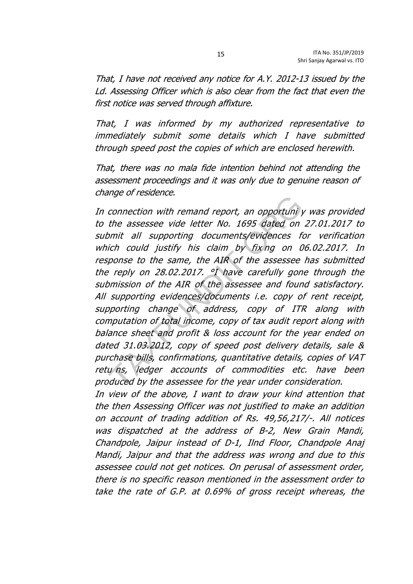That, I have not received any notice for A.Y. 2012-13 issued by the Ld. Assessing Officer which is also clear from the fact that even the first notice was served through affixture.

That, I was informed by my authorized representative to immediately submit some details which I have submitted through speed post the copies of which are enclosed herewith.

That, there was no mala fide intention behind not attending the assessment proceedings and it was only due to genuine reason of change of residence.

In connection with remand report, an opportuni y was provided to the assessee vide letter No. 1695 dated on 27.01.2017 to submit all supporting documents/evidences for verification which could justify his claim by fix ng on 06.02.2017. In response to the same, the AIR of the assessee has submitted the reply on 28.02.2017. <sup>o</sup>I have carefully gone through the submission of the AIR of the assessee and found satisfactory. All supporting evidences/documents i.e. copy of rent receipt, supporting change of address, copy of ITR along with computation of total income, copy of tax audit report along with balance sheet and profit & loss account for the year ended on dated 31.03.2012, copy of speed post delivery details, sale & purchase bills, confirmations, quantitative details, copies of VAT retu ns, ledger accounts of commodities etc. have been produced by the assessee for the year under consideration. rightly connection with remand report, an opportunity<br>the assessee vide letter No. 1695 dated on<br>bmit all supporting documents/evidences fich could justify his claim by fix ng on 0<br>ponse to the same, the AIR of the assesse

In view of the above, I want to draw your kind attention that the then Assessing Officer was not justified to make an addition on account of trading addition of Rs. 49,56,217/-. All notices was dispatched at the address of B-2, New Grain Mandi, Chandpole, Jaipur instead of D-1, Ilnd Floor, Chandpole Anaj Mandi, Jaipur and that the address was wrong and due to this assessee could not get notices. On perusal of assessment order, there is no specific reason mentioned in the assessment order to take the rate of G.P. at 0.69% of gross receipt whereas, the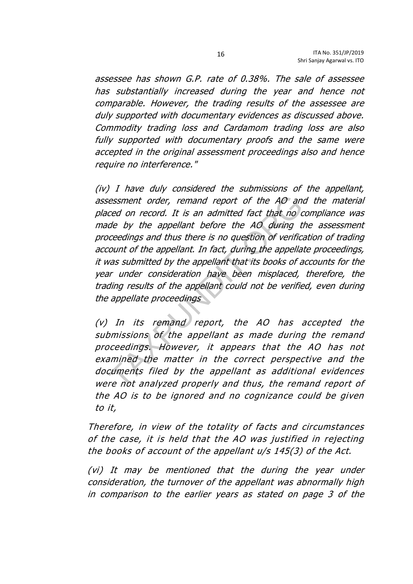assessee has shown G.P. rate of 0.38%. The sale of assessee has substantially increased during the year and hence not comparable. However, the trading results of the assessee are duly supported with documentary evidences as discussed above. Commodity trading loss and Cardamom trading loss are also fully supported with documentary proofs and the same were accepted in the original assessment proceedings also and hence require no interference."

(iv) I have duly considered the submissions of the appellant, assessment order, remand report of the AO and the material placed on record. It is an admitted fact that no compliance was made by the appellant before the AO during the assessment proceedings and thus there is no question of verification of trading account of the appellant. In fact, during the appellate proceedings, it was submitted by the appellant that its books of accounts for the year under consideration have been misplaced, therefore, the trading results of the appellant could not be verified, even during the appellate proceedings ressment order, remand report of the AO anced on record. It is an admitted fact that no c<br>de by the appellant before the AO during to<br>ceedings and thus there is no question of verific,<br>count of the appellant. In fact, duri

(v) In its remand report, the AO has accepted the submissions of the appellant as made during the remand proceedings. However, it appears that the AO has not examined the matter in the correct perspective and the documents filed by the appellant as additional evidences were not analyzed properly and thus, the remand report of the AO is to be ignored and no cognizance could be given to it,

Therefore, in view of the totality of facts and circumstances of the case, it is held that the AO was justified in rejecting the books of account of the appellant u/s 145(3) of the Act.

(vi) It may be mentioned that the during the year under consideration, the turnover of the appellant was abnormally high in comparison to the earlier years as stated on page 3 of the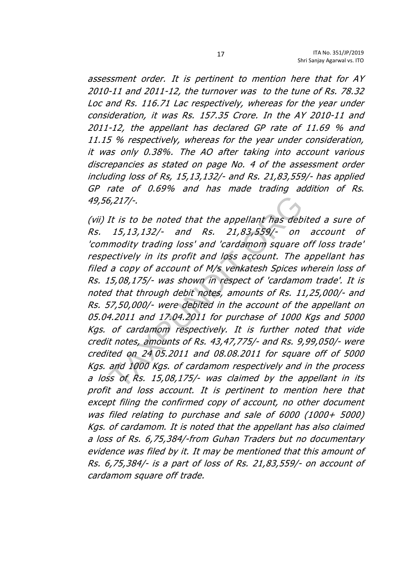assessment order. It is pertinent to mention here that for AY 2010-11 and 2011-12, the turnover was to the tune of Rs. 78.32 Loc and Rs. 116.71 Lac respectively, whereas for the year under consideration, it was Rs. 157.35 Crore. In the AY 2010-11 and 2011-12, the appellant has declared GP rate of 11.69 % and 11.15 % respectively, whereas for the year under consideration, it was only 0.38%. The AO after taking into account various discrepancies as stated on page No. 4 of the assessment order including loss of Rs, 15,13,132/- and Rs. 21,83,559/- has applied GP rate of 0.69% and has made trading addition of Rs. 49,56,217/-.

(vii) It is to be noted that the appellant has debited a sure of Rs. 15,13,132/- and Rs. 21,83,559/- on account of 'commodity trading loss' and 'cardamom square off loss trade' respectively in its profit and loss account. The appellant has filed a copy of account of M/s venkatesh Spices wherein loss of Rs. 15,08,175/- was shown in respect of 'cardamom trade'. It is noted that through debit notes, amounts of Rs. 11,25,000/- and Rs. 57,50,000/- were debited in the account of the appellant on 05.04.2011 and 17.04.2011 for purchase of 1000 Kgs and 5000 Kgs. of cardamom respectively. It is further noted that vide credit notes, amounts of Rs. 43,47,775/- and Rs. 9,99,050/- were credited on 24 05.2011 and 08.08.2011 for square off of 5000 Kgs. and 1000 Kgs. of cardamom respectively and in the process a loss of Rs. 15,08,175/- was claimed by the appellant in its profit and loss account. It is pertinent to mention here that except filing the confirmed copy of account, no other document was filed relating to purchase and sale of 6000 (1000+ 5000) Kgs. of cardamom. It is noted that the appellant has also claimed a loss of Rs. 6,75,384/-from Guhan Traders but no documentary evidence was filed by it. It may be mentioned that this amount of Rs. 6,75,384/- is a part of loss of Rs. 21,83,559/- on account of cardamom square off trade. 5,217/-.<br>
It is to be noted that the appellant has deb<br>
15,13,132/- and Rs. 21,83,559/- on<br>
modity trading loss' and 'cardamom square<br>
ectively in its profit and loss account. The<br>
a copy of account of M/s venkatesh Spice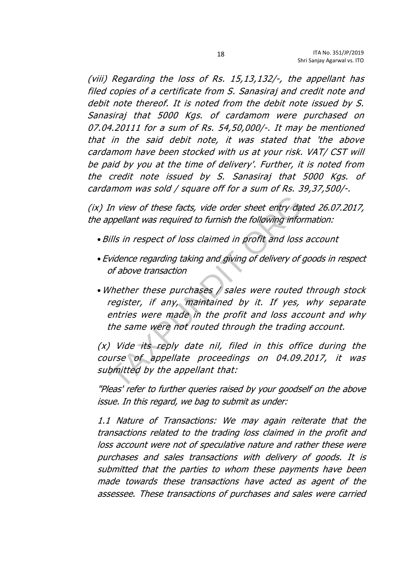(viii) Regarding the loss of Rs. 15,13,132/-, the appellant has filed copies of a certificate from S. Sanasiraj and credit note and debit note thereof. It is noted from the debit note issued by S. Sanasiraj that 5000 Kgs. of cardamom were purchased on 07.04.20111 for a sum of Rs. 54,50,000/-. It may be mentioned that in the said debit note, it was stated that 'the above cardamom have been stocked with us at your risk. VAT/ CST will be paid by you at the time of delivery'. Further, it is noted from the credit note issued by S. Sanasiraj that 5000 Kgs. of cardamom was sold / square off for a sum of Rs. 39,37,500/-.

(ix) In view of these facts, vide order sheet entry dated 26.07.2017, the appellant was required to furnish the following information:

- •Bills in respect of loss claimed in profit and loss account
- •Evidence regarding taking and giving of delivery of goods in respect of above transaction
- •Whether these purchases / sales were routed through stock register, if any, maintained by it. If yes, why separate entries were made in the profit and loss account and why the same were not routed through the trading account. In view of these facts, vide order sheet entry daily ppellant was required to furnish the following infor<br>
ills in respect of loss claimed in profit and loss<br>
ills in respect of loss claimed in profit and loss<br>
in the rega

(x) Vide its reply date nil, filed in this office during the course of appellate proceedings on 04.09.2017, it was submitted by the appellant that:

"Pleas' refer to further queries raised by your goodself on the above issue. In this regard, we bag to submit as under:

1.1 Nature of Transactions: We may again reiterate that the transactions related to the trading loss claimed in the profit and loss account were not of speculative nature and rather these were purchases and sales transactions with delivery of goods. It is submitted that the parties to whom these payments have been made towards these transactions have acted as agent of the assessee. These transactions of purchases and sales were carried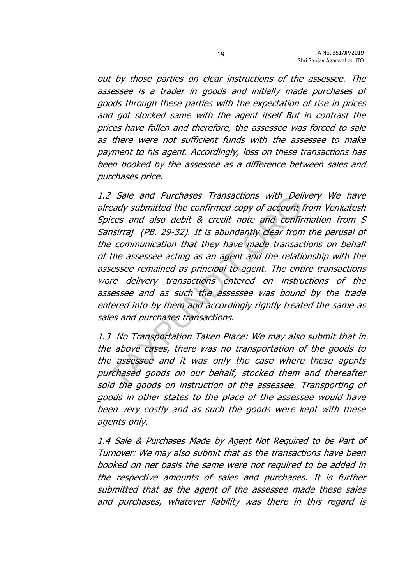out by those parties on clear instructions of the assessee. The assessee is a trader in goods and initially made purchases of goods through these parties with the expectation of rise in prices and got stocked same with the agent itself But in contrast the prices have fallen and therefore, the assessee was forced to sale as there were not sufficient funds with the assessee to make payment to his agent. Accordingly, loss on these transactions has been booked by the assessee as a difference between sales and purchases price.

1.2 Sale and Purchases Transactions with Delivery We have already submitted the confirmed copy of account from Venkatesh Spices and also debit & credit note and confirmation from S Sansirraj (PB. 29-32). It is abundantly clear from the perusal of the communication that they have made transactions on behalf of the assessee acting as an agent and the relationship with the assessee remained as principal to agent. The entire transactions wore delivery transactions entered on instructions of the assessee and as such the assessee was bound by the trade entered into by them and accordingly rightly treated the same as sales and purchases transactions. *Z* Sale and Purchases Transactions with Deliverady submitted the confirmed copy of account i<br>ices and also debit & credit note and confirms<br>irraj (PB. 29-32). It is abundantly clear from<br>e communication that they have mad

1.3 No Transportation Taken Place: We may also submit that in the above cases, there was no transportation of the goods to the assessee and it was only the case where these agents purchased goods on our behalf, stocked them and thereafter sold the goods on instruction of the assessee. Transporting of goods in other states to the place of the assessee would have been very costly and as such the goods were kept with these agents only.

1.4 Sale & Purchases Made by Agent Not Required to be Part of Turnover: We may also submit that as the transactions have been booked on net basis the same were not required to be added in the respective amounts of sales and purchases. It is further submitted that as the agent of the assessee made these sales and purchases, whatever liability was there in this regard is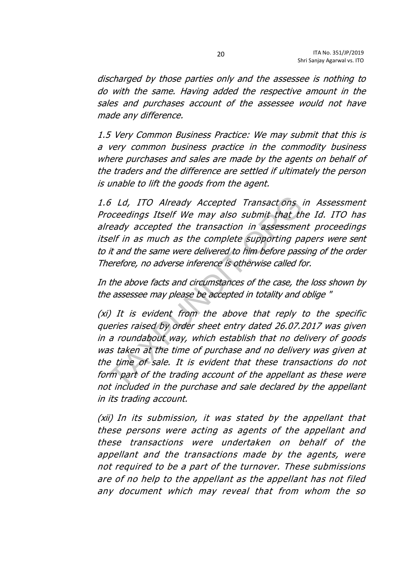discharged by those parties only and the assessee is nothing to do with the same. Having added the respective amount in the sales and purchases account of the assessee would not have made any difference.

1.5 Very Common Business Practice: We may submit that this is a very common business practice in the commodity business where purchases and sales are made by the agents on behalf of the traders and the difference are settled if ultimately the person is unable to lift the goods from the agent.

1.6 Ld, ITO Already Accepted Transact ons in Assessment Proceedings Itself We may also submit that the Id. ITO has already accepted the transaction in assessment proceedings itself in as much as the complete supporting papers were sent to it and the same were delivered to him before passing of the order Therefore, no adverse inference is otherwise called for.

In the above facts and circumstances of the case, the loss shown by the assessee may please be accepted in totality and oblige "

(xi) It is evident from the above that reply to the specific queries raised by order sheet entry dated 26.07.2017 was given in a roundabout way, which establish that no delivery of goods was taken at the time of purchase and no delivery was given at the time of sale. It is evident that these transactions do not form part of the trading account of the appellant as these were not included in the purchase and sale declared by the appellant in its trading account. 6 Ld, ITO Already Accepted Transact ons<br>oceedings Itself We may also submit that the<br>ready accepted the transaction in assessmer<br>elf in as much as the complete supporting pa<br>it and the same were delivered to him before pas

(xii) In its submission, it was stated by the appellant that these persons were acting as agents of the appellant and these transactions were undertaken on behalf of the appellant and the transactions made by the agents, were not required to be a part of the turnover. These submissions are of no help to the appellant as the appellant has not filed any document which may reveal that from whom the so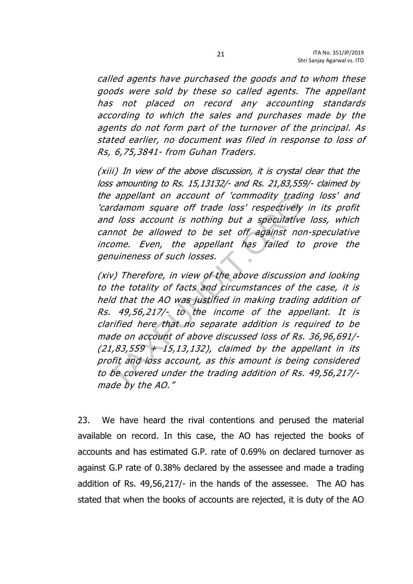called agents have purchased the goods and to whom these goods were sold by these so called agents. The appellant has not placed on record any accounting standards according to which the sales and purchases made by the agents do not form part of the turnover of the principal. As stated earlier, no document was filed in response to loss of Rs, 6,75,3841- from Guhan Traders.

(xiii) In view of the above discussion, it is crystal clear that the loss amounting to Rs. 15,13132/- and Rs. 21,83,559/- claimed by the appellant on account of 'commodity trading loss' and 'cardamom square off trade loss' respectively in its profit and loss account is nothing but a speculative loss, which cannot be allowed to be set off against non-speculative income. Even, the appellant has failed to prove the genuineness of such losses.

(xiv) Therefore, in view of the above discussion and looking to the totality of facts and circumstances of the case, it is held that the AO was justified in making trading addition of Rs. 49,56,217/- to the income of the appellant. It is clarified here that no separate addition is required to be made on account of above discussed loss of Rs. 36,96,691/-  $(21,83,559 + 15,13,132)$ , claimed by the appellant in its profit and loss account, as this amount is being considered to be covered under the trading addition of Rs. 49,56,217/ made by the AO." e appellant on account or commodity tradi-<br>ardamom square off trade loss' respectively<br>d loss account is nothing but a speculative<br>nnot be allowed to be set off against no.<br>come. Even, the appellant has failed to<br>nuineness

23. We have heard the rival contentions and perused the material available on record. In this case, the AO has rejected the books of accounts and has estimated G.P. rate of 0.69% on declared turnover as against G.P rate of 0.38% declared by the assessee and made a trading addition of Rs. 49,56,217/- in the hands of the assessee. The AO has stated that when the books of accounts are rejected, it is duty of the AO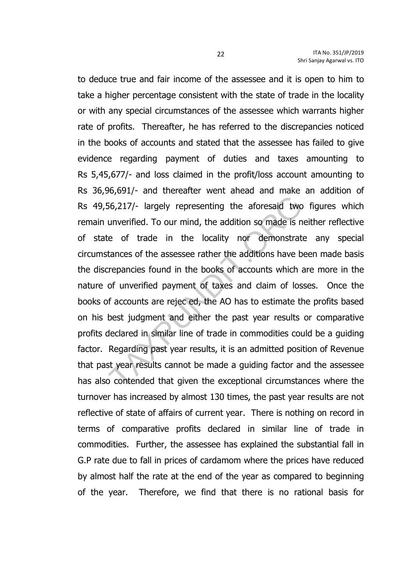to deduce true and fair income of the assessee and it is open to him to take a higher percentage consistent with the state of trade in the locality or with any special circumstances of the assessee which warrants higher rate of profits. Thereafter, he has referred to the discrepancies noticed in the books of accounts and stated that the assessee has failed to give evidence regarding payment of duties and taxes amounting to Rs 5,45,677/- and loss claimed in the profit/loss account amounting to Rs 36,96,691/- and thereafter went ahead and make an addition of Rs 49,56,217/- largely representing the aforesaid two figures which remain unverified. To our mind, the addition so made is neither reflective of state of trade in the locality nor demonstrate any special circumstances of the assessee rather the additions have been made basis the discrepancies found in the books of accounts which are more in the nature of unverified payment of taxes and claim of losses. Once the books of accounts are rejec ed, the AO has to estimate the profits based on his best judgment and either the past year results or comparative profits declared in similar line of trade in commodities could be a guiding factor. Regarding past year results, it is an admitted position of Revenue that past year results cannot be made a guiding factor and the assessee has also contended that given the exceptional circumstances where the turnover has increased by almost 130 times, the past year results are not reflective of state of affairs of current year. There is nothing on record in terms of comparative profits declared in similar line of trade in commodities. Further, the assessee has explained the substantial fall in G.P rate due to fall in prices of cardamom where the prices have reduced by almost half the rate at the end of the year as compared to beginning of the year. Therefore, we find that there is no rational basis for 17/- largely representing the aforesaid two<br>unverified. To our mind, the addition so made is n<br>re of trade in the locality nor demonstrate<br>tances of the assessee rather the additions have b<br>repancies found in the books of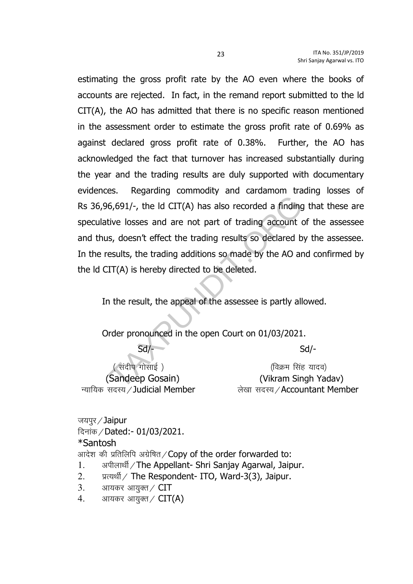estimating the gross profit rate by the AO even where the books of accounts are rejected. In fact, in the remand report submitted to the ld CIT(A), the AO has admitted that there is no specific reason mentioned in the assessment order to estimate the gross profit rate of 0.69% as against declared gross profit rate of 0.38%. Further, the AO has acknowledged the fact that turnover has increased substantially during the year and the trading results are duly supported with documentary evidences. Regarding commodity and cardamom trading losses of Rs 36,96,691/-, the ld CIT(A) has also recorded a finding that these are speculative losses and are not part of trading account of the assessee and thus, doesn't effect the trading results so declared by the assessee. In the results, the trading additions so made by the AO and confirmed by the ld CIT(A) is hereby directed to be deleted. 6,691/-, the ld CIT(A) has also recorded a finding<br>tive losses and are not part of trading account of<br>s, doesn't effect the trading results so declared b<br>esults, the trading additions so made by the AO ar<br>IT(A) is hereby

In the result, the appeal of the assessee is partly allowed.

Order pronounced in the open Court on 01/03/2021.

 $Sd$   $-Sd$   $-$ 

 ¼ l anhi xkslkbZ ½ ¼foØe fl ag ;kno½ (Sandeep Gosain) (Vikram Singh Yadav) न्यायिक सदस्य / Judicial Member wall के लेखा सदस्य / Accountant Member

जयपुर / Jaipur दिनांक / Dated:- 01/03/2021. \*Santosh

आदेश की प्रतिलिपि अग्रेषित/Copy of the order forwarded to:

- 1. अपीलार्थी / The Appellant- Shri Sanjay Agarwal, Jaipur.
- 2. प्रत्यर्थी / The Respondent- ITO, Ward-3(3), Jaipur.
- 3. आयकर आयुक्त /  $CIT$
- 4. आयकर आयुक्त /  $CIT(A)$